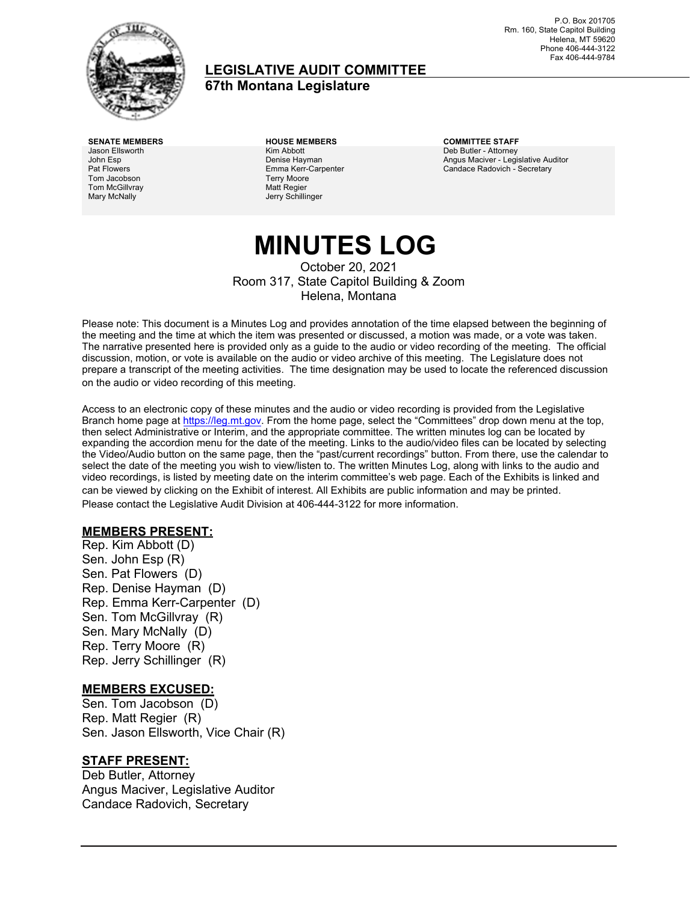

### **LEGISLATIVE AUDIT COMMITTEE**

**67th Montana Legislature**

Jason Ellsworth John Esp Pat Flowers Tom Jacobson Tom McGillvray Mary McNally

**SENATE MEMBERS HOUSE MEMBERS COMMITTEE STAFF** Kim Abbott Denise Hayman Emma Kerr-Carpenter Terry Moore Matt Regier Jerry Schillinger

Deb Butler - Attorney Angus Maciver - Legislative Auditor Candace Radovich - Secretary

# **MINUTES LOG**

October 20, 2021 Room 317, State Capitol Building & Zoom Helena, Montana

Please note: This document is a Minutes Log and provides annotation of the time elapsed between the beginning of the meeting and the time at which the item was presented or discussed, a motion was made, or a vote was taken. The narrative presented here is provided only as a guide to the audio or video recording of the meeting. The official discussion, motion, or vote is available on the audio or video archive of this meeting. The Legislature does not prepare a transcript of the meeting activities. The time designation may be used to locate the referenced discussion on the audio or video recording of this meeting.

Access to an electronic copy of these minutes and the audio or video recording is provided from the Legislative Branch home page at [https://leg.mt.gov.](http://legmt.gov/) From the home page, select the "Committees" drop down menu at the top, then select Administrative or Interim, and the appropriate committee. The written minutes log can be located by expanding the accordion menu for the date of the meeting. Links to the audio/video files can be located by selecting the Video/Audio button on the same page, then the "past/current recordings" button. From there, use the calendar to select the date of the meeting you wish to view/listen to. The written Minutes Log, along with links to the audio and video recordings, is listed by meeting date on the interim committee's web page. Each of the Exhibits is linked and can be viewed by clicking on the Exhibit of interest. All Exhibits are public information and may be printed. Please contact the Legislative Audit Division at 406-444-3122 for more information.

### **MEMBERS PRESENT:**

Rep. Kim Abbott (D) Sen. John Esp (R) Sen. Pat Flowers (D) Rep. Denise Hayman (D) Rep. Emma Kerr-Carpenter (D) Sen. Tom McGillvray (R) Sen. Mary McNally (D) Rep. Terry Moore (R) Rep. Jerry Schillinger (R)

### **MEMBERS EXCUSED:**

Sen. Tom Jacobson (D) Rep. Matt Regier (R) Sen. Jason Ellsworth, Vice Chair (R)

### **STAFF PRESENT:**

Deb Butler, Attorney Angus Maciver, Legislative Auditor Candace Radovich, Secretary

P.O. Box 201705 Rm. 160, State Capitol Building Helena, MT 59620 Phone 406-444-3122 Fax 406-444-9784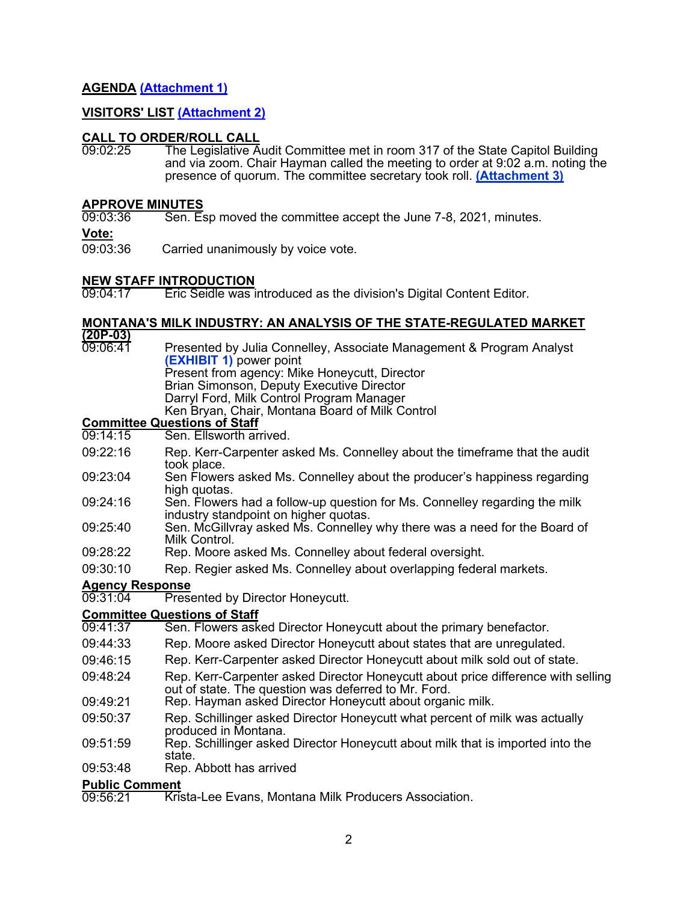### **AGENDA [\(Attachment 1\)](https://leg.mt.gov/content/Committees/Administration/audit/2021-22/Meetings/Oct-2021/Exhibits/A1.pdf)**

### **VISITORS' LIST [\(Attachment 2\)](https://leg.mt.gov/content/Committees/Administration/audit/2021-22/Meetings/Oct-2021/Exhibits/A2.pdf)**

# **CALL TO ORDER/ROLL CALL**<br>09:02:25 The Legislative A

The Legislative Audit Committee met in room 317 of the State Capitol Building and via zoom. Chair Hayman called the meeting to order at 9:02 a.m. noting the presence of quorum. The committee secretary took roll. **[\(Attachment 3\)](https://leg.mt.gov/content/Committees/Administration/audit/2021-22/Meetings/Oct-2021/Exhibits/A3.pdf)**

# **APPROVE MINUTES**<br>09:03:36 Sen, E

Sen. Esp moved the committee accept the June 7-8, 2021, minutes.

**Vote:**

09:03:36 Carried unanimously by voice vote.

# **NEW STAFF INTRODUCTION**<br>09:04:17 **Eric Seidle was**

Eric Seidle was introduced as the division's Digital Content Editor.

### **MONTANA'S MILK INDUSTRY: AN ANALYSIS OF THE STATE-REGULATED MARKET**

**(20P-03)**

09:06:41 Presented by Julia Connelley, Associate Management & Program Analyst **[\(EXHIBIT 1\)](https://leg.mt.gov/content/Committees/Administration/audit/2021-22/Meetings/Oct-2021/Exhibits/E1.pdf)** power point Present from agency: Mike Honeycutt, Director Brian Simonson, Deputy Executive Director Darryl Ford, Milk Control Program Manager

Ken Bryan, Chair, Montana Board of Milk Control

# **Committee Questions of Staff**

- Sen. Ellsworth arrived.
- 09:22:16 Rep. Kerr-Carpenter asked Ms. Connelley about the timeframe that the audit took place.
- 09:23:04 Sen Flowers asked Ms. Connelley about the producer's happiness regarding high quotas.
- 09:24:16 Sen. Flowers had a follow-up question for Ms. Connelley regarding the milk industry standpoint on higher quotas.
- 09:25:40 Sen. McGillvray asked Ms. Connelley why there was a need for the Board of Milk Control.
- 09:28:22 Rep. Moore asked Ms. Connelley about federal oversight.
- 09:30:10 Rep. Regier asked Ms. Connelley about overlapping federal markets.

## Agency Response<br>09:31:04 Prese

**Presented by Director Honeycutt.** 

# **Committee Questions of Staff**

- Sen. Flowers asked Director Honeycutt about the primary benefactor.
- 09:44:33 Rep. Moore asked Director Honeycutt about states that are unregulated.
- 09:46:15 Rep. Kerr-Carpenter asked Director Honeycutt about milk sold out of state.
- 09:48:24 Rep. Kerr-Carpenter asked Director Honeycutt about price difference with selling out of state. The question was deferred to Mr. Ford.
- 09:49:21 Rep. Hayman asked Director Honeycutt about organic milk.
- 09:50:37 Rep. Schillinger asked Director Honeycutt what percent of milk was actually produced in Montana.
- 09:51:59 Rep. Schillinger asked Director Honeycutt about milk that is imported into the state.
- 09:53:48 Rep. Abbott has arrived

# **Public Comment**<br>09:56:21 Kris

**Krista-Lee Evans, Montana Milk Producers Association.**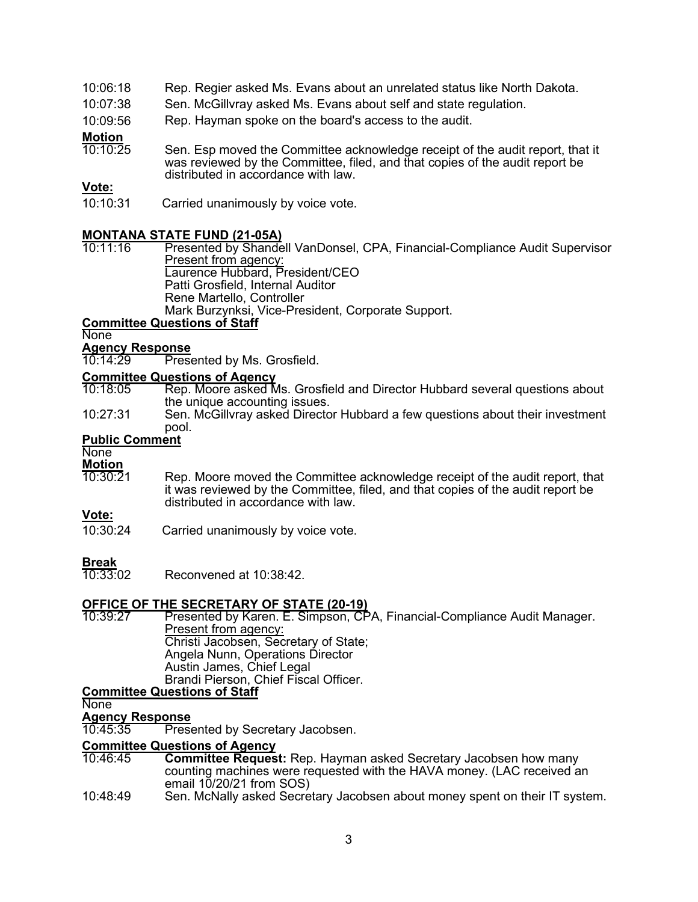### 10:06:18 Rep. Regier asked Ms. Evans about an unrelated status like North Dakota.

- 10:07:38 Sen. McGillvray asked Ms. Evans about self and state regulation.
- 10:09:56 Rep. Hayman spoke on the board's access to the audit.

### **Motion**<br>10:10:25

Sen. Esp moved the Committee acknowledge receipt of the audit report, that it was reviewed by the Committee, filed, and that copies of the audit report be distributed in accordance with law.

### **Vote:**

10:10:31 Carried unanimously by voice vote.

# **MONTANA STATE FUND (21-05A)**

Presented by Shandell VanDonsel, CPA, Financial-Compliance Audit Supervisor Present from agency: Laurence Hubbard, President/CEO Patti Grosfield, Internal Auditor

Rene Martello, Controller

Mark Burzynksi, Vice-President, Corporate Support.

### **Committee Questions of Staff**

### **None**

# **Agency Response**

Presented by Ms. Grosfield.

# **Committee Questions of Agency**<br>10:18:05 **Rep. Moore asked M**

- Rep. Moore asked Ms. Grosfield and Director Hubbard several questions about the unique accounting issues.
- 10:27:31 Sen. McGillvray asked Director Hubbard a few questions about their investment pool.

### **Public Comment**

### None

# **Motion**<br>10:30:21

Rep. Moore moved the Committee acknowledge receipt of the audit report, that it was reviewed by the Committee, filed, and that copies of the audit report be distributed in accordance with law.

### **Vote:**

10:30:24 Carried unanimously by voice vote.

**Break**<br>10:33:02 Reconvened at 10:38:42

# **OFFICE OF THE SECRETARY OF STATE (20-19)**<br>10:39:27 Presented by Karen, E. Simpson, CF

Presented by Karen. E. Simpson, CPA, Financial-Compliance Audit Manager. Present from agency: Christi Jacobsen, Secretary of State; Angela Nunn, Operations Director Austin James, Chief Legal Brandi Pierson, Chief Fiscal Officer.

### **Committee Questions of Staff**

**None** 

# **Agency Response**

Presented by Secretary Jacobsen.

### **Committee Questions of Agency**

- **Committee Request:** Rep. Hayman asked Secretary Jacobsen how many counting machines were requested with the HAVA money. (LAC received an email  $10/20/21$  from SOS)
- 10:48:49 Sen. McNally asked Secretary Jacobsen about money spent on their IT system.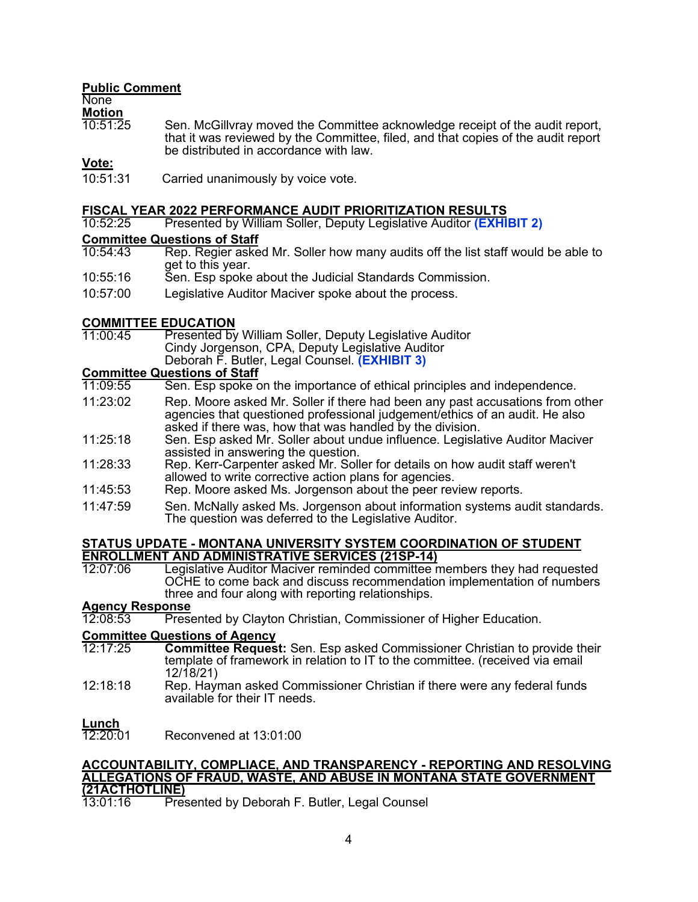### **Public Comment**

None

**Motion**<br>10:51:25

Sen. McGillvray moved the Committee acknowledge receipt of the audit report, that it was reviewed by the Committee, filed, and that copies of the audit report be distributed in accordance with law.

### **Vote:**

10:51:31 Carried unanimously by voice vote.

# **FISCAL YEAR 2022 PERFORMANCE AUDIT PRIORITIZATION RESULTS**

10:52:25 Presented by William Soller, Deputy Legislative Auditor **[\(EXHIBIT 2\)](https://leg.mt.gov/content/Committees/Administration/audit/2021-22/Meetings/Oct-2021/Exhibits/E2.pdf)**

# **Committee Questions of Staff**<br>10:54:43 Rep. Regier aske

- Rep. Regier asked Mr. Soller how many audits off the list staff would be able to get to this year.
- 10:55:16 Sen. Esp spoke about the Judicial Standards Commission.
- 10:57:00 Legislative Auditor Maciver spoke about the process.

# **COMMITTEE EDUCATION**<br>11:00:45 Presented by

Presented by William Soller, Deputy Legislative Auditor Cindy Jorgenson, CPA, Deputy Legislative Auditor Deborah F. Butler, Legal Counsel. **[\(EXHIBIT 3\)](https://leg.mt.gov/content/Committees/Administration/audit/2021-22/Meetings/Oct-2021/Exhibits/E3.pdf)**

# **Committee Questions of Staff**

- Sen. Esp spoke on the importance of ethical principles and independence.
- 11:23:02 Rep. Moore asked Mr. Soller if there had been any past accusations from other agencies that questioned professional judgement/ethics of an audit. He also asked if there was, how that was handled by the division.
- 11:25:18 Sen. Esp asked Mr. Soller about undue influence. Legislative Auditor Maciver assisted in answering the question.
- 11:28:33 Rep. Kerr-Carpenter asked Mr. Soller for details on how audit staff weren't allowed to write corrective action plans for agencies.
- 11:45:53 Rep. Moore asked Ms. Jorgenson about the peer review reports.
- 11:47:59 Sen. McNally asked Ms. Jorgenson about information systems audit standards. The question was deferred to the Legislative Auditor.

### **STATUS UPDATE - MONTANA UNIVERSITY SYSTEM COORDINATION OF STUDENT ENROLLMENT AND ADMINISTRATIVE SERVICES (21SP-14)**

Legislative Auditor Maciver reminded committee members they had requested OCHE to come back and discuss recommendation implementation of numbers three and four along with reporting relationships.

# **Agency Response**

**Presented by Clayton Christian, Commissioner of Higher Education.** 

### **Committee Questions of Agency**<br>12:17:25 **Committee Reques**

- **Committee Request:** Sen. Esp asked Commissioner Christian to provide their template of framework in relation to IT to the committee. (received via email 12/18/21)
- 12:18:18 Rep. Hayman asked Commissioner Christian if there were any federal funds available for their IT needs.

### **Lunch**

Reconvened at 13:01:00

### **ACCOUNTABILITY, COMPLIACE, AND TRANSPARENCY - REPORTING AND RESOLVING ALLEGATIONS OF FRAUD, WASTE, AND ABUSE IN MONTANA STATE GOVERNMENT (21ACTHOTLINE)**

Presented by Deborah F. Butler, Legal Counsel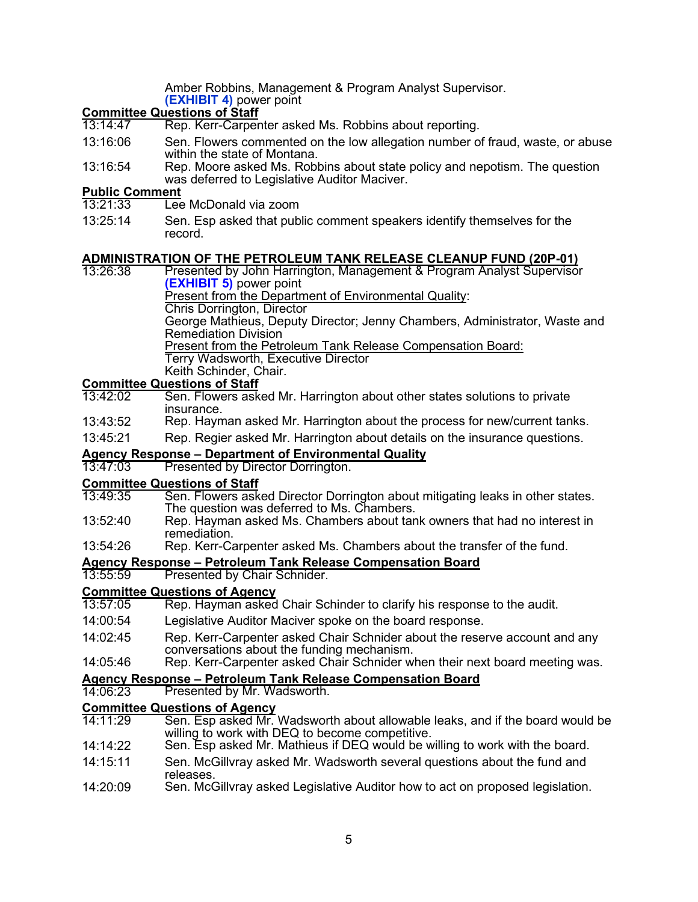Amber Robbins, Management & Program Analyst Supervisor.

**[\(EXHIBIT 4\)](https://leg.mt.gov/content/Committees/Administration/audit/2021-22/Meetings/Oct-2021/Exhibits/E4.pdf)** power point

# **Committee Questions of Staff**<br>13:14:47 Rep. Kerr-Carper

- Rep. Kerr-Carpenter asked Ms. Robbins about reporting.
- 13:16:06 Sen. Flowers commented on the low allegation number of fraud, waste, or abuse within the state of Montana.
- 13:16:54 Rep. Moore asked Ms. Robbins about state policy and nepotism. The question was deferred to Legislative Auditor Maciver.

### **Public Comment**

- $\overline{\rm Lee}$  McDonald via zoom
- 13:25:14 Sen. Esp asked that public comment speakers identify themselves for the record.

### **ADMINISTRATION OF THE PETROLEUM TANK RELEASE CLEANUP FUND (20P-01)**

13:26:38 Presented by John Harrington, Management & Program Analyst Supervisor

**[\(EXHIBIT 5\)](https://leg.mt.gov/content/Committees/Administration/audit/2021-22/Meetings/Oct-2021/Exhibits/E5.pdf)** power point Present from the Department of Environmental Quality:

Chris Dorrington, Director

George Mathieus, Deputy Director; Jenny Chambers, Administrator, Waste and Remediation Division

Present from the Petroleum Tank Release Compensation Board:

Terry Wadsworth, Executive Director

Keith Schinder, Chair.

# **Committee Questions of Staff**

- Sen. Flowers asked Mr. Harrington about other states solutions to private insurance.
- 13:43:52 Rep. Hayman asked Mr. Harrington about the process for new/current tanks.
- 13:45:21 Rep. Regier asked Mr. Harrington about details on the insurance questions.

# **Agency Response – Department of Environmental Quality**

Presented by Director Dorrington.

# **Committee Questions of Staff**<br>13:49:35 **Sen, Flowers ask**

- 13:49:35 Sen. Flowers asked Director Dorrington about mitigating leaks in other states. The question was deferred to Ms. Chambers.
- 13:52:40 Rep. Hayman asked Ms. Chambers about tank owners that had no interest in remediation.
- 13:54:26 Rep. Kerr-Carpenter asked Ms. Chambers about the transfer of the fund.

# **Agency Response – Petroleum Tank Release Compensation Board**

Presented by Chair Schnider.

# **Committee Questions of Agency**<br>13:57:05 Rep. Hayman asked

- Rep. Hayman asked Chair Schinder to clarify his response to the audit.
- 14:00:54 Legislative Auditor Maciver spoke on the board response.
- 14:02:45 Rep. Kerr-Carpenter asked Chair Schnider about the reserve account and any conversations about the funding mechanism.
- 14:05:46 Rep. Kerr-Carpenter asked Chair Schnider when their next board meeting was.

### **Agency Response – Petroleum Tank Release Compensation Board**

# 14:06:23 Presented by Mr. Wadsworth.

- **Committee Questions of Agency** Sen. Esp asked Mr. Wadsworth about allowable leaks, and if the board would be willing to work with DEQ to become competitive.
- 14:14:22 Sen. Esp asked Mr. Mathieus if DEQ would be willing to work with the board.
- 14:15:11 Sen. McGillvray asked Mr. Wadsworth several questions about the fund and releases.
- 14:20:09 Sen. McGillvray asked Legislative Auditor how to act on proposed legislation.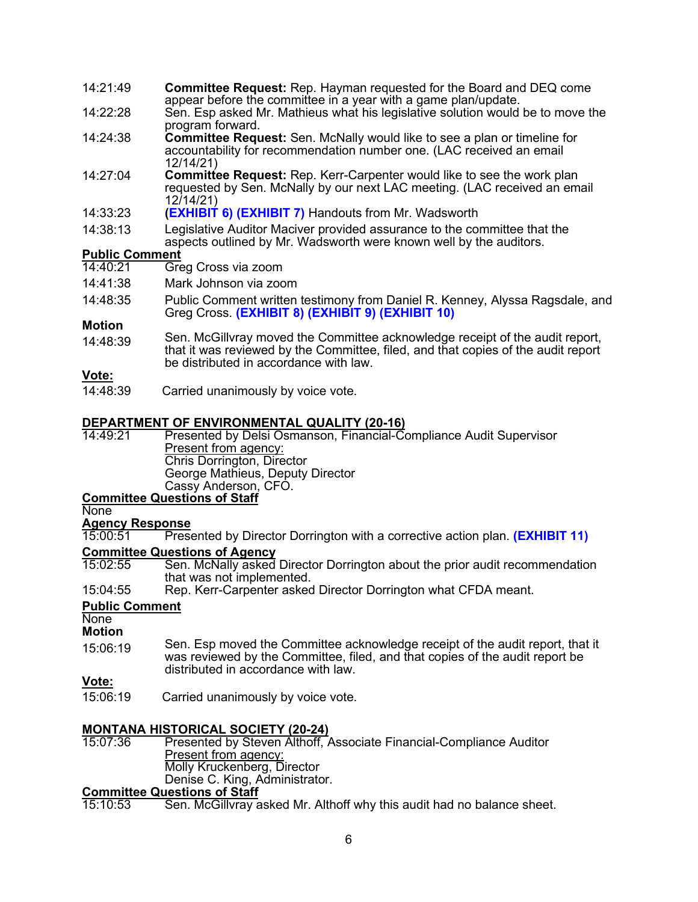- 14:21:49 **Committee Request:** Rep. Hayman requested for the Board and DEQ come appear before the committee in a year with a game plan/update.
- 14:22:28 Sen. Esp asked Mr. Mathieus what his legislative solution would be to move the program forward.
- 14:24:38 **Committee Request:** Sen. McNally would like to see a plan or timeline for accountability for recommendation number one. (LAC received an email 12/14/21)
- 14:27:04 **Committee Request:** Rep. Kerr-Carpenter would like to see the work plan requested by Sen. McNally by our next LAC meeting. (LAC received an email 12/14/21)
- 14:33:23 **[\(EXHIBIT 6\)](https://leg.mt.gov/content/Committees/Administration/audit/2021-22/Meetings/Oct-2021/Exhibits/E6.pdf) [\(EXHIBIT 7\)](https://leg.mt.gov/content/Committees/Administration/audit/2021-22/Meetings/Oct-2021/Exhibits/E7.pdf)** Handouts from Mr. Wadsworth
- 14:38:13 Legislative Auditor Maciver provided assurance to the committee that the aspects outlined by Mr. Wadsworth were known well by the auditors.

### **Public Comment**<br>14:40:21 Gre

- Greg Cross via zoom
- 14:41:38 Mark Johnson via zoom
- 14:48:35 Public Comment written testimony from Daniel R. Kenney, Alyssa Ragsdale, and Greg Cross. **[\(EXHIBIT 8\)](https://leg.mt.gov/content/Committees/Administration/audit/2021-22/Meetings/Oct-2021/Exhibits/E8.pdf) [\(EXHIBIT 9\)](https://leg.mt.gov/content/Committees/Administration/audit/2021-22/Meetings/Oct-2021/Exhibits/E9.pdf) [\(EXHIBIT 10\)](https://leg.mt.gov/content/Committees/Administration/audit/2021-22/Meetings/Oct-2021/Exhibits/E10.pdf)**

### **Motion**

14:48:39 Sen. McGillvray moved the Committee acknowledge receipt of the audit report, that it was reviewed by the Committee, filed, and that copies of the audit report be distributed in accordance with law.

### **Vote:**

14:48:39 Carried unanimously by voice vote.

## **DEPARTMENT OF ENVIRONMENTAL QUALITY (20-16)**

Presented by Delsi Osmanson, Financial-Compliance Audit Supervisor Present from agency: Chris Dorrington, Director George Mathieus, Deputy Director Cassy Anderson, CFO. **Committee Questions of Staff**

### **None**

### **Agency Response**

**Presented by Director Dorrington with a corrective action plan. <b>[\(EXHIBIT 11\)](https://leg.mt.gov/content/Committees/Administration/audit/2021-22/Meetings/Oct-2021/Exhibits/E11.pdf)** 

### **Committee Questions of Agency**

- 15:02:55 Sen. McNally asked Director Dorrington about the prior audit recommendation that was not implemented.
- 15:04:55 Rep. Kerr-Carpenter asked Director Dorrington what CFDA meant.

### **Public Comment**

### **None Motion**

 $15:06:19$  Sen. Esp moved the Committee acknowledge receipt of the audit report, that it was reviewed by the Committee, filed, and that copies of the audit report be distributed in accordance with law.

**<u>Vote:</u><br>15:06:19** Carried unanimously by voice vote.

# **MONTANA HISTORICAL SOCIETY (20-24)**

Presented by Steven Althoff, Associate Financial-Compliance Auditor Present from agency: Molly Kruckenberg, Director Denise C. King, Administrator.

## **Committee Questions of Staff**<br>15:10:53 **Sen, McGillyray** a

Sen. McGillvray asked Mr. Althoff why this audit had no balance sheet.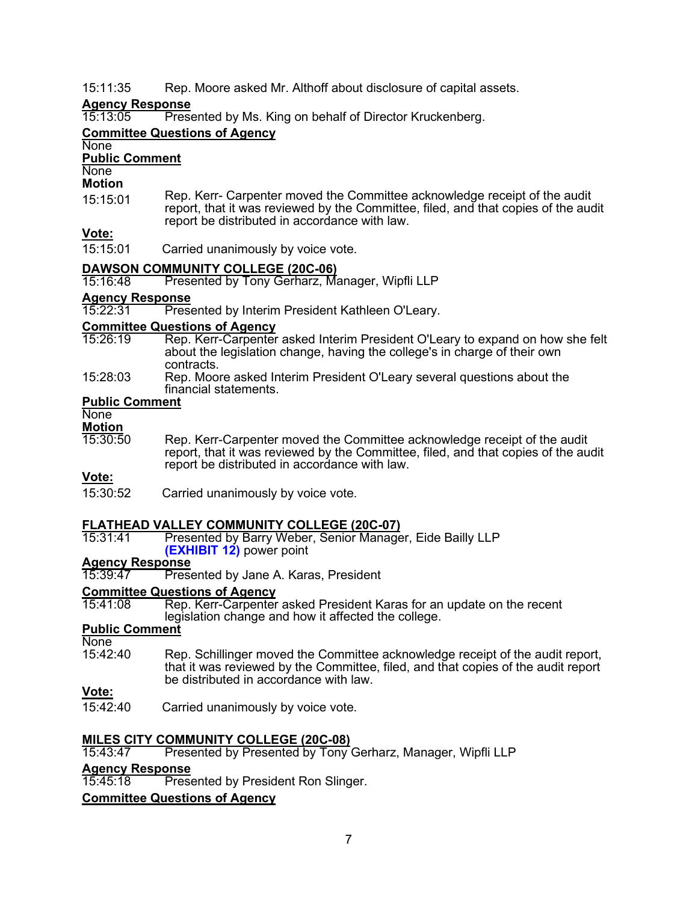15:11:35 Rep. Moore asked Mr. Althoff about disclosure of capital assets.

# **Agency Response**

**Presented by Ms. King on behalf of Director Kruckenberg.** 

### **Committee Questions of Agency**

### **None Public Comment**

**None** 

### **Motion**

15:15:01 Rep. Kerr- Carpenter moved the Committee acknowledge receipt of the audit report, that it was reviewed by the Committee, filed, and that copies of the audit report be distributed in accordance with law.

### **Vote:**

15:15:01 Carried unanimously by voice vote.

# **DAWSON COMMUNITY COLLEGE (20C-06)**

Presented by Tony Gerharz, Manager, Wipfli LLP

### Agency Response<br>15:22:31 Prese

**Presented by Interim President Kathleen O'Leary.** 

# **Committee Questions of Agency**

- Rep. Kerr-Carpenter asked Interim President O'Leary to expand on how she felt about the legislation change, having the college's in charge of their own contracts.
- 15:28:03 Rep. Moore asked Interim President O'Leary several questions about the financial statements.

### **Public Comment**

**None** 

- **Motion**<br>15:30:50
- Rep. Kerr-Carpenter moved the Committee acknowledge receipt of the audit report, that it was reviewed by the Committee, filed, and that copies of the audit report be distributed in accordance with law.

### **Vote:**

15:30:52 Carried unanimously by voice vote.

### **FLATHEAD VALLEY COMMUNITY COLLEGE (20C-07)**

Presented by Barry Weber, Senior Manager, Eide Bailly LLP **[\(EXHIBIT 12\)](https://leg.mt.gov/content/Committees/Administration/audit/2021-22/Meetings/Oct-2021/Exhibits/E12.pdf)** power point

# **Agency Response**

Presented by Jane A. Karas, President

### **Committee Questions of Agency**

Rep. Kerr-Carpenter asked President Karas for an update on the recent legislation change and how it affected the college.

### **Public Comment**

- None<br>15:42:40
- Rep. Schillinger moved the Committee acknowledge receipt of the audit report, that it was reviewed by the Committee, filed, and that copies of the audit report be distributed in accordance with law.

### **Vote:**

15:42:40 Carried unanimously by voice vote.

# **MILES CITY COMMUNITY COLLEGE (20C-08)**

Presented by Presented by Tony Gerharz, Manager, Wipfli LLP

# **Agency Response**

**Presented by President Ron Slinger.** 

### **Committee Questions of Agency**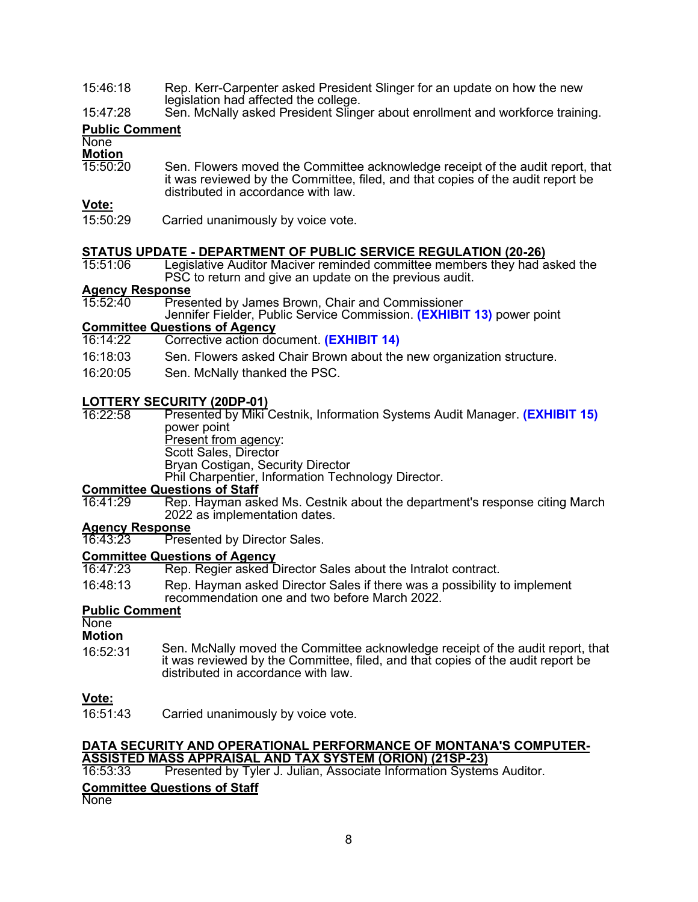- 15:46:18 Rep. Kerr-Carpenter asked President Slinger for an update on how the new legislation had affected the college.
- 15:47:28 Sen. McNally asked President Slinger about enrollment and workforce training.

### **Public Comment**

### **None**

**Motion**<br>15:50:20 Sen. Flowers moved the Committee acknowledge receipt of the audit report, that it was reviewed by the Committee, filed, and that copies of the audit report be distributed in accordance with law.

### **Vote:**

15:50:29 Carried unanimously by voice vote.

# **STATUS UPDATE - DEPARTMENT OF PUBLIC SERVICE REGULATION (20-26)**

Legislative Auditor Maciver reminded committee members they had asked the PSC to return and give an update on the previous audit.

## **Agency Response**

**Presented by James Brown, Chair and Commissioner** 

Jennifer Fielder, Public Service Commission. **[\(EXHIBIT 13\)](https://leg.mt.gov/content/Committees/Administration/audit/2021-22/Meetings/Oct-2021/Exhibits/E13.pdf)** power point

# **Committee Questions of Agency**<br>16:14:22 **Corrective action do**

- Corrective action document. **[\(EXHIBIT 14\)](https://leg.mt.gov/content/Committees/Administration/audit/2021-22/Meetings/Oct-2021/Exhibits/E14.pdf)**
- 16:18:03 Sen. Flowers asked Chair Brown about the new organization structure.
- 16:20:05 Sen. McNally thanked the PSC.

**LOTTERY SECURITY (20DP-01) Presented by Miki Cestnik, Information Systems Audit Manager. <b>[\(EXHIBIT 1](https://leg.mt.gov/content/Committees/Administration/audit/2021-22/Meetings/Oct-2021/Exhibits/E15.pdf)5)** power point Present from agency:

Scott Sales, Director

Bryan Costigan, Security Director

Phil Charpentier, Information Technology Director.

# **Committee Questions of Staff**<br>16:41:29 Rep. Hayman ask

Rep. Hayman asked Ms. Cestnik about the department's response citing March 2022 as implementation dates.

# **Agency Response**

Presented by Director Sales.

### **Committee Questions of Agency**<br>16:47:23 Rep. Regier asked D

- Rep. Regier asked Director Sales about the Intralot contract.
- 16:48:13 Rep. Hayman asked Director Sales if there was a possibility to implement recommendation one and two before March 2022.

### **Public Comment**

None

- **Motion**
- 16:52:31 Sen. McNally moved the Committee acknowledge receipt of the audit report, that it was reviewed by the Committee, filed, and that copies of the audit report be distributed in accordance with law.

**<u>Vote:</u><br>16:51:43** Carried unanimously by voice vote.

### **DATA SECURITY AND OPERATIONAL PERFORMANCE OF MONTANA'S COMPUTER-ASSISTED MASS APPRAISAL AND TAX SYSTEM (ORION) (21SP-23)**

Presented by Tyler J. Julian, Associate Information Systems Auditor.

### **Committee Questions of Staff**

**None**